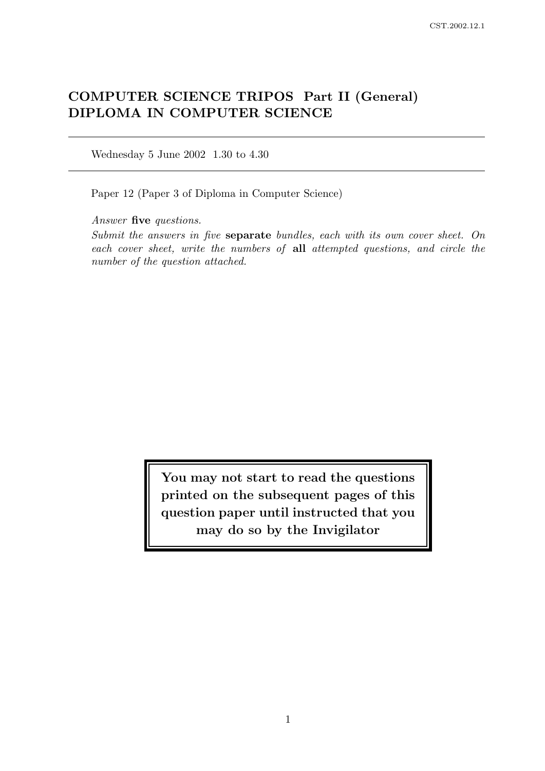# COMPUTER SCIENCE TRIPOS Part II (General) DIPLOMA IN COMPUTER SCIENCE

Wednesday 5 June 2002 1.30 to 4.30

Paper 12 (Paper 3 of Diploma in Computer Science)

Answer five questions.

Submit the answers in five separate bundles, each with its own cover sheet. On each cover sheet, write the numbers of all attempted questions, and circle the number of the question attached.

> You may not start to read the questions printed on the subsequent pages of this question paper until instructed that you may do so by the Invigilator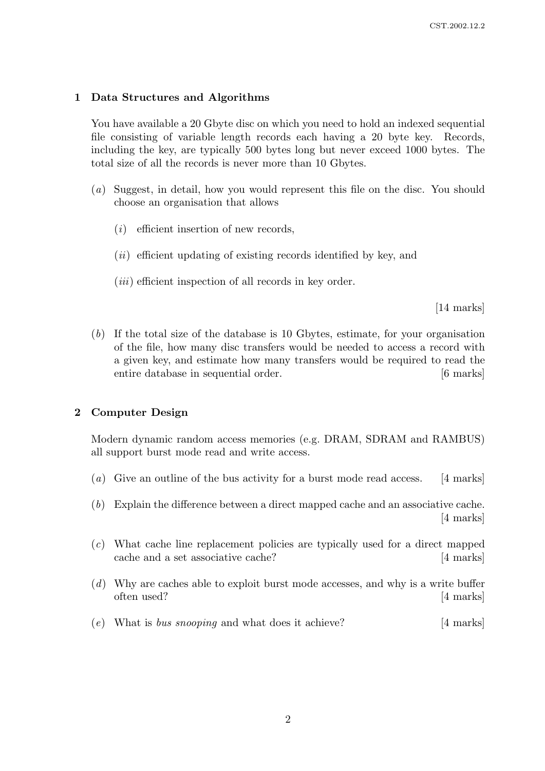## 1 Data Structures and Algorithms

You have available a 20 Gbyte disc on which you need to hold an indexed sequential file consisting of variable length records each having a 20 byte key. Records, including the key, are typically 500 bytes long but never exceed 1000 bytes. The total size of all the records is never more than 10 Gbytes.

- (a) Suggest, in detail, how you would represent this file on the disc. You should choose an organisation that allows
	- $(i)$  efficient insertion of new records.
	- $(ii)$  efficient updating of existing records identified by key, and
	- $(iii)$  efficient inspection of all records in key order.

[14 marks]

(b) If the total size of the database is 10 Gbytes, estimate, for your organisation of the file, how many disc transfers would be needed to access a record with a given key, and estimate how many transfers would be required to read the entire database in sequential order. [6 marks]

### 2 Computer Design

Modern dynamic random access memories (e.g. DRAM, SDRAM and RAMBUS) all support burst mode read and write access.

- (a) Give an outline of the bus activity for a burst mode read access. [4 marks]
- (b) Explain the difference between a direct mapped cache and an associative cache. [4 marks]
- (c) What cache line replacement policies are typically used for a direct mapped cache and a set associative cache? [4 marks]
- (d) Why are caches able to exploit burst mode accesses, and why is a write buffer often used? [4 marks]
- (e) What is bus snooping and what does it achieve?  $[4 \text{ marks}]$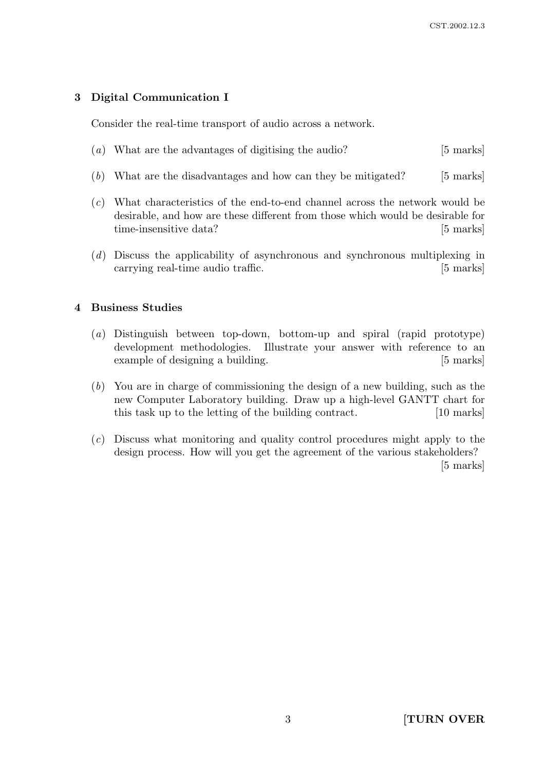# 3 Digital Communication I

Consider the real-time transport of audio across a network.

- (a) What are the advantages of digitising the audio? [5 marks]
- (b) What are the disadvantages and how can they be mitigated? [5 marks]
- (c) What characteristics of the end-to-end channel across the network would be desirable, and how are these different from those which would be desirable for time-insensitive data? [5 marks]
- (d) Discuss the applicability of asynchronous and synchronous multiplexing in carrying real-time audio traffic. [5 marks]

## 4 Business Studies

- (a) Distinguish between top-down, bottom-up and spiral (rapid prototype) development methodologies. Illustrate your answer with reference to an example of designing a building. [5 marks]
- (b) You are in charge of commissioning the design of a new building, such as the new Computer Laboratory building. Draw up a high-level GANTT chart for this task up to the letting of the building contract. [10 marks]
- (c) Discuss what monitoring and quality control procedures might apply to the design process. How will you get the agreement of the various stakeholders? [5 marks]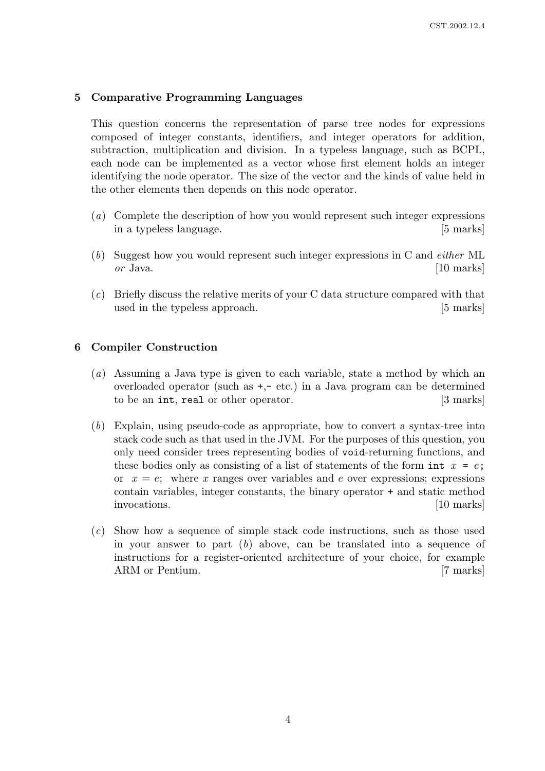## 5 Comparative Programming Languages

This question concerns the representation of parse tree nodes for expressions composed of integer constants, identifiers, and integer operators for addition, subtraction, multiplication and division. In a typeless language, such as BCPL, each node can be implemented as a vector whose first element holds an integer identifying the node operator. The size of the vector and the kinds of value held in the other elements then depends on this node operator.

- (a) Complete the description of how you would represent such integer expressions in a typeless language. [5 marks]
- (b) Suggest how you would represent such integer expressions in C and either ML  $or$  Java.  $[10 \text{ marks}]$
- (c) Briefly discuss the relative merits of your C data structure compared with that used in the typeless approach. [5 marks]

## 6 Compiler Construction

- (a) Assuming a Java type is given to each variable, state a method by which an overloaded operator (such as  $+,-$  etc.) in a Java program can be determined to be an int, real or other operator. [3 marks]
- (b) Explain, using pseudo-code as appropriate, how to convert a syntax-tree into stack code such as that used in the JVM. For the purposes of this question, you only need consider trees representing bodies of void-returning functions, and these bodies only as consisting of a list of statements of the form int  $x = e$ ; or  $x = e$ ; where x ranges over variables and e over expressions; expressions contain variables, integer constants, the binary operator + and static method invocations. [10 marks]
- (c) Show how a sequence of simple stack code instructions, such as those used in your answer to part  $(b)$  above, can be translated into a sequence of instructions for a register-oriented architecture of your choice, for example ARM or Pentium. [7 marks]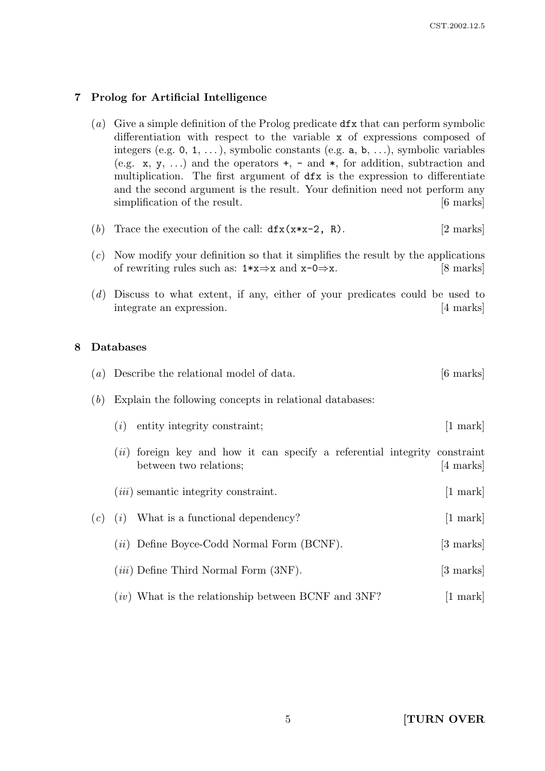# 7 Prolog for Artificial Intelligence

- (a) Give a simple definition of the Prolog predicate  $dfx$  that can perform symbolic differentiation with respect to the variable x of expressions composed of integers (e.g.  $0, 1, \ldots$ ), symbolic constants (e.g.  $a, b, \ldots$ ), symbolic variables (e.g.  $x, y, ...$ ) and the operators  $+, -$  and  $*,$  for addition, subtraction and multiplication. The first argument of dfx is the expression to differentiate and the second argument is the result. Your definition need not perform any simplification of the result. [6 marks]
- (b) Trace the execution of the call:  $dfx(x*x-2, R)$ . [2 marks]
- $(c)$  Now modify your definition so that it simplifies the result by the applications of rewriting rules such as:  $1 \times x \Rightarrow x$  and  $x - 0 \Rightarrow x$ . [8 marks]
- (d) Discuss to what extent, if any, either of your predicates could be used to integrate an expression. [4 marks]

# 8 Databases

| (a) | Describe the relational model of data.                                                                      | [6 marks]          |
|-----|-------------------------------------------------------------------------------------------------------------|--------------------|
| (b) | Explain the following concepts in relational databases:                                                     |                    |
|     | entity integrity constraint;<br>(i)                                                                         | $[1 \text{ mark}]$ |
|     | <i>(ii)</i> foreign key and how it can specify a referential integrity constraint<br>between two relations; | [4 marks]          |
|     | $(iii)$ semantic integrity constraint.                                                                      | $[1 \text{ mark}]$ |
| (c) | What is a functional dependency?<br>(i)                                                                     | $[1 \text{ mark}]$ |
|     | $(ii)$ Define Boyce-Codd Normal Form (BCNF).                                                                | [3 marks]          |
|     | $(iii)$ Define Third Normal Form $(3NF)$ .                                                                  | [3 marks]          |
|     | $(iv)$ What is the relationship between BCNF and 3NF?                                                       | $ 1$ mark          |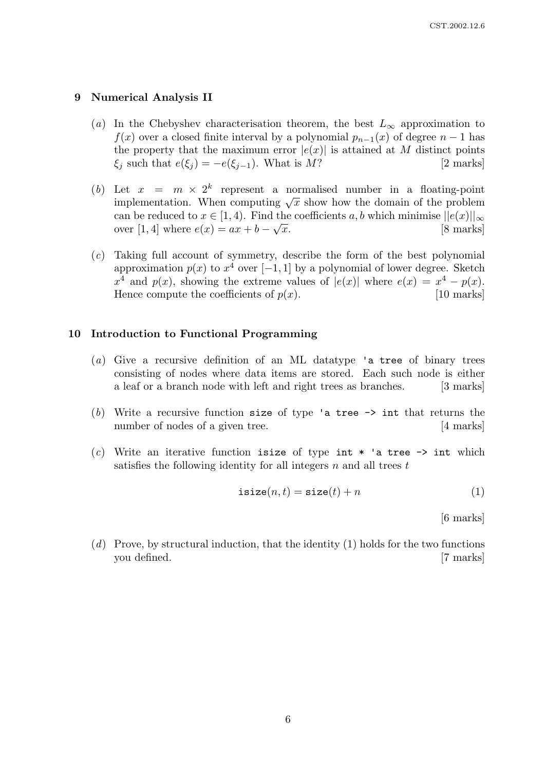#### 9 Numerical Analysis II

- (a) In the Chebyshev characterisation theorem, the best  $L_{\infty}$  approximation to  $f(x)$  over a closed finite interval by a polynomial  $p_{n-1}(x)$  of degree  $n-1$  has the property that the maximum error  $|e(x)|$  is attained at M distinct points  $\xi_j$  such that  $e(\xi_j) = -e(\xi_{j-1})$ . What is M? [2 marks]
- (b) Let  $x = m \times 2^k$  represent a normalised number in a floating-point Let  $x = m \times 2$  represent a normalised number in a notating-point<br>implementation. When computing  $\sqrt{x}$  show how the domain of the problem can be reduced to  $x \in [1, 4)$ . Find the coefficients a, b which minimise  $||e(x)||_{\infty}$ over [1, 4] where  $e(x) = ax + b - \sqrt{x}$ . [8 marks]
- (c) Taking full account of symmetry, describe the form of the best polynomial approximation  $p(x)$  to  $x^4$  over [−1, 1] by a polynomial of lower degree. Sketch  $x^4$  and  $p(x)$ , showing the extreme values of  $|e(x)|$  where  $e(x) = x^4 - p(x)$ . Hence compute the coefficients of  $p(x)$ . [10 marks]

#### 10 Introduction to Functional Programming

- (a) Give a recursive definition of an ML datatype 'a tree of binary trees consisting of nodes where data items are stored. Each such node is either a leaf or a branch node with left and right trees as branches. [3 marks]
- (b) Write a recursive function size of type 'a tree  $\rightarrow$  int that returns the number of nodes of a given tree. [4 marks]
- (c) Write an iterative function isize of type int  $*$  'a tree  $\rightarrow$  int which satisfies the following identity for all integers  $n$  and all trees  $t$

$$
isize(n, t) = size(t) + n
$$
\n(1)

[6 marks]

 $(d)$  Prove, by structural induction, that the identity (1) holds for the two functions you defined. [7 marks]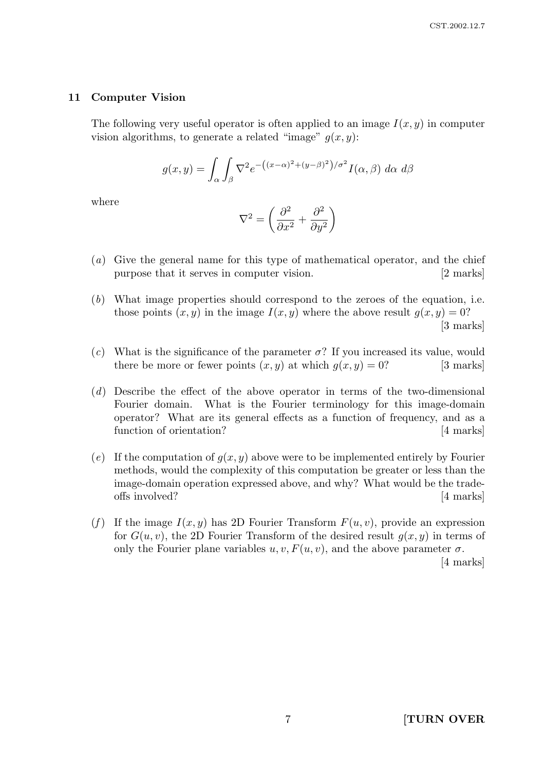#### 11 Computer Vision

The following very useful operator is often applied to an image  $I(x, y)$  in computer vision algorithms, to generate a related "image"  $q(x, y)$ :

$$
g(x,y) = \int_{\alpha} \int_{\beta} \nabla^2 e^{-\left((x-\alpha)^2 + (y-\beta)^2\right)/\sigma^2} I(\alpha,\beta) \, d\alpha \, d\beta
$$

where

$$
\nabla^2 = \left(\frac{\partial^2}{\partial x^2} + \frac{\partial^2}{\partial y^2}\right)
$$

- (a) Give the general name for this type of mathematical operator, and the chief purpose that it serves in computer vision. [2 marks]
- (b) What image properties should correspond to the zeroes of the equation, i.e. those points  $(x, y)$  in the image  $I(x, y)$  where the above result  $q(x, y) = 0$ ? [3 marks]
- (c) What is the significance of the parameter  $\sigma$ ? If you increased its value, would there be more or fewer points  $(x, y)$  at which  $q(x, y) = 0$ ? [3 marks]
- (d) Describe the effect of the above operator in terms of the two-dimensional Fourier domain. What is the Fourier terminology for this image-domain operator? What are its general effects as a function of frequency, and as a function of orientation? [4 marks]
- (e) If the computation of  $q(x, y)$  above were to be implemented entirely by Fourier methods, would the complexity of this computation be greater or less than the image-domain operation expressed above, and why? What would be the tradeoffs involved? [4 marks]
- (f) If the image  $I(x, y)$  has 2D Fourier Transform  $F(u, v)$ , provide an expression for  $G(u, v)$ , the 2D Fourier Transform of the desired result  $q(x, y)$  in terms of only the Fourier plane variables  $u, v, F(u, v)$ , and the above parameter  $\sigma$ .

[4 marks]